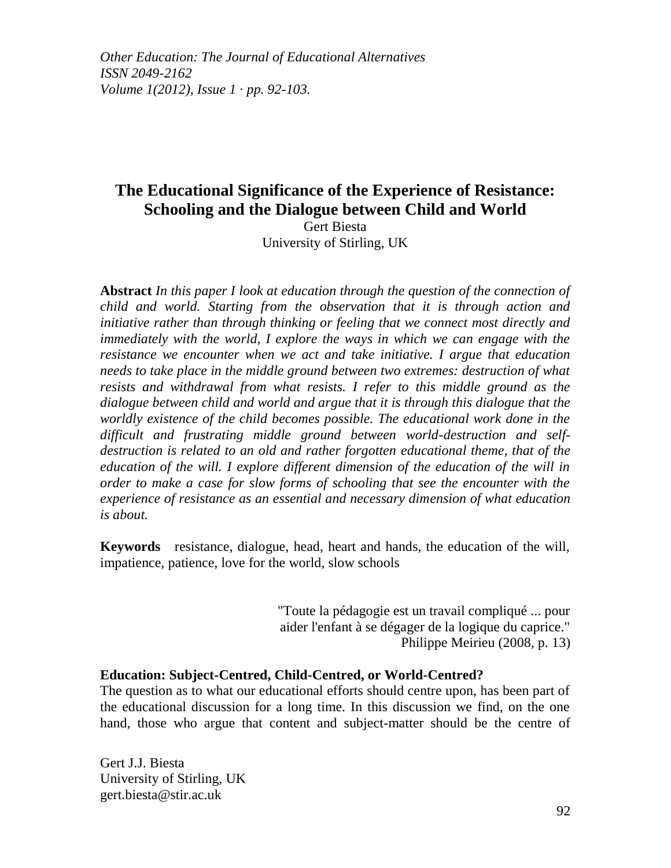*Other Education: The Journal of Educational Alternatives ISSN 2049-2162 Volume 1(2012), Issue 1 · pp. 92-103.*

# **The Educational Significance of the Experience of Resistance: Schooling and the Dialogue between Child and World**

Gert Biesta University of Stirling, UK

**Abstract** *In this paper I look at education through the question of the connection of child and world. Starting from the observation that it is through action and initiative rather than through thinking or feeling that we connect most directly and immediately with the world, I explore the ways in which we can engage with the resistance we encounter when we act and take initiative. I argue that education needs to take place in the middle ground between two extremes: destruction of what resists and withdrawal from what resists. I refer to this middle ground as the dialogue between child and world and argue that it is through this dialogue that the worldly existence of the child becomes possible. The educational work done in the difficult and frustrating middle ground between world-destruction and selfdestruction is related to an old and rather forgotten educational theme, that of the education of the will. I explore different dimension of the education of the will in order to make a case for slow forms of schooling that see the encounter with the experience of resistance as an essential and necessary dimension of what education is about.*

**Keywords** resistance, dialogue, head, heart and hands, the education of the will, impatience, patience, love for the world, slow schools

> "Toute la pédagogie est un travail compliqué ... pour aider l'enfant à se dégager de la logique du caprice." Philippe Meirieu (2008, p. 13)

## **Education: Subject-Centred, Child-Centred, or World-Centred?**

The question as to what our educational efforts should centre upon, has been part of the educational discussion for a long time. In this discussion we find, on the one hand, those who argue that content and subject-matter should be the centre of

Gert J.J. Biesta University of Stirling, UK gert.biesta@stir.ac.uk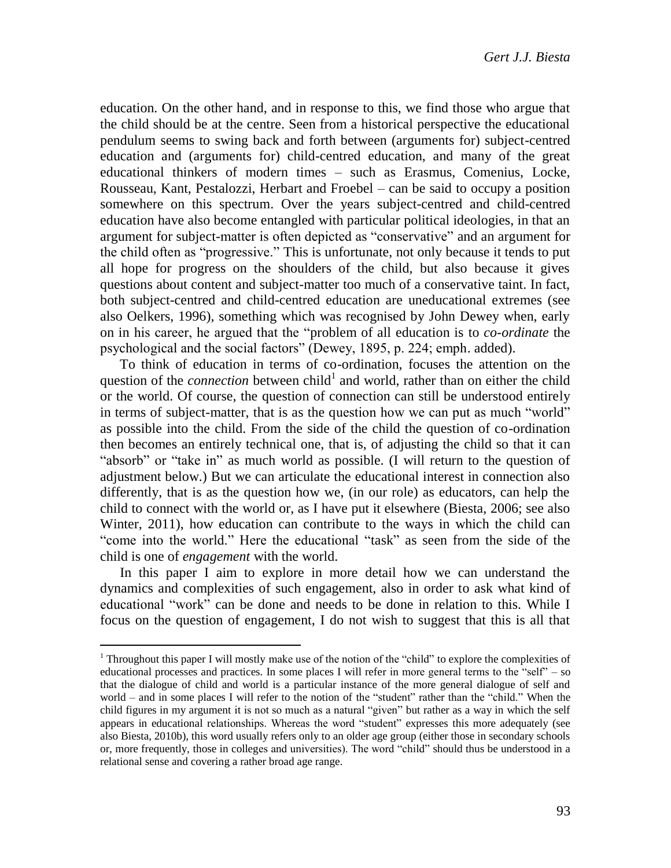education. On the other hand, and in response to this, we find those who argue that the child should be at the centre. Seen from a historical perspective the educational pendulum seems to swing back and forth between (arguments for) subject-centred education and (arguments for) child-centred education, and many of the great educational thinkers of modern times – such as Erasmus, Comenius, Locke, Rousseau, Kant, Pestalozzi, Herbart and Froebel – can be said to occupy a position somewhere on this spectrum. Over the years subject-centred and child-centred education have also become entangled with particular political ideologies, in that an argument for subject-matter is often depicted as "conservative" and an argument for the child often as "progressive." This is unfortunate, not only because it tends to put all hope for progress on the shoulders of the child, but also because it gives questions about content and subject-matter too much of a conservative taint. In fact, both subject-centred and child-centred education are uneducational extremes (see also Oelkers, 1996), something which was recognised by John Dewey when, early on in his career, he argued that the "problem of all education is to *co-ordinate* the psychological and the social factors" (Dewey, 1895, p. 224; emph. added).

To think of education in terms of co-ordination, focuses the attention on the question of the *connection* between child<sup>1</sup> and world, rather than on either the child or the world. Of course, the question of connection can still be understood entirely in terms of subject-matter, that is as the question how we can put as much "world" as possible into the child. From the side of the child the question of co-ordination then becomes an entirely technical one, that is, of adjusting the child so that it can "absorb" or "take in" as much world as possible. (I will return to the question of adjustment below.) But we can articulate the educational interest in connection also differently, that is as the question how we, (in our role) as educators, can help the child to connect with the world or, as I have put it elsewhere (Biesta, 2006; see also Winter, 2011), how education can contribute to the ways in which the child can "come into the world." Here the educational "task" as seen from the side of the child is one of *engagement* with the world.

In this paper I aim to explore in more detail how we can understand the dynamics and complexities of such engagement, also in order to ask what kind of educational "work" can be done and needs to be done in relation to this. While I focus on the question of engagement, I do not wish to suggest that this is all that

 $\overline{\phantom{a}}$ 

<sup>&</sup>lt;sup>1</sup> Throughout this paper I will mostly make use of the notion of the "child" to explore the complexities of educational processes and practices. In some places I will refer in more general terms to the "self" – so that the dialogue of child and world is a particular instance of the more general dialogue of self and world – and in some places I will refer to the notion of the "student" rather than the "child." When the child figures in my argument it is not so much as a natural "given" but rather as a way in which the self appears in educational relationships. Whereas the word "student" expresses this more adequately (see also Biesta, 2010b), this word usually refers only to an older age group (either those in secondary schools or, more frequently, those in colleges and universities). The word "child" should thus be understood in a relational sense and covering a rather broad age range.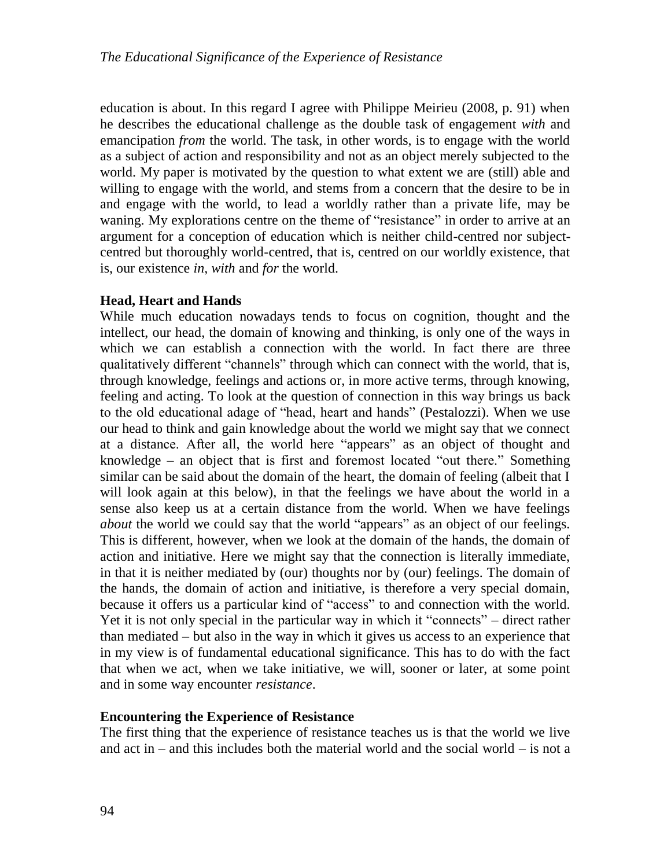education is about. In this regard I agree with Philippe Meirieu (2008, p. 91) when he describes the educational challenge as the double task of engagement *with* and emancipation *from* the world. The task, in other words, is to engage with the world as a subject of action and responsibility and not as an object merely subjected to the world. My paper is motivated by the question to what extent we are (still) able and willing to engage with the world, and stems from a concern that the desire to be in and engage with the world, to lead a worldly rather than a private life, may be waning. My explorations centre on the theme of "resistance" in order to arrive at an argument for a conception of education which is neither child-centred nor subjectcentred but thoroughly world-centred, that is, centred on our worldly existence, that is, our existence *in*, *with* and *for* the world.

# **Head, Heart and Hands**

While much education nowadays tends to focus on cognition, thought and the intellect, our head, the domain of knowing and thinking, is only one of the ways in which we can establish a connection with the world. In fact there are three qualitatively different "channels" through which can connect with the world, that is, through knowledge, feelings and actions or, in more active terms, through knowing, feeling and acting. To look at the question of connection in this way brings us back to the old educational adage of "head, heart and hands" (Pestalozzi). When we use our head to think and gain knowledge about the world we might say that we connect at a distance. After all, the world here "appears" as an object of thought and knowledge – an object that is first and foremost located "out there." Something similar can be said about the domain of the heart, the domain of feeling (albeit that I will look again at this below), in that the feelings we have about the world in a sense also keep us at a certain distance from the world. When we have feelings *about* the world we could say that the world "appears" as an object of our feelings. This is different, however, when we look at the domain of the hands, the domain of action and initiative. Here we might say that the connection is literally immediate, in that it is neither mediated by (our) thoughts nor by (our) feelings. The domain of the hands, the domain of action and initiative, is therefore a very special domain, because it offers us a particular kind of "access" to and connection with the world. Yet it is not only special in the particular way in which it "connects" – direct rather than mediated – but also in the way in which it gives us access to an experience that in my view is of fundamental educational significance. This has to do with the fact that when we act, when we take initiative, we will, sooner or later, at some point and in some way encounter *resistance*.

# **Encountering the Experience of Resistance**

The first thing that the experience of resistance teaches us is that the world we live and act in – and this includes both the material world and the social world – is not a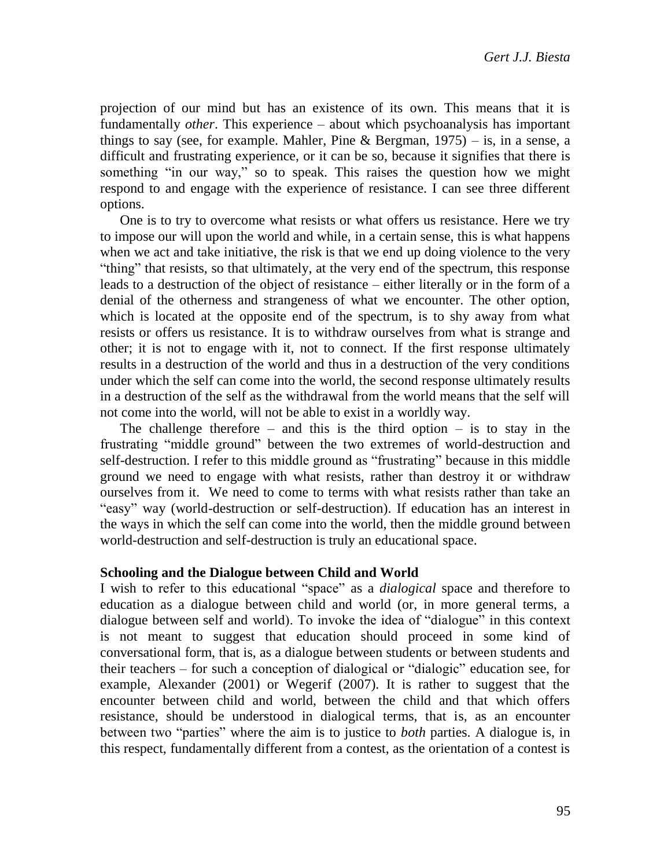projection of our mind but has an existence of its own. This means that it is fundamentally *other*. This experience – about which psychoanalysis has important things to say (see, for example. Mahler, Pine & Bergman,  $1975$ ) – is, in a sense, a difficult and frustrating experience, or it can be so, because it signifies that there is something "in our way," so to speak. This raises the question how we might respond to and engage with the experience of resistance. I can see three different options.

One is to try to overcome what resists or what offers us resistance. Here we try to impose our will upon the world and while, in a certain sense, this is what happens when we act and take initiative, the risk is that we end up doing violence to the very "thing" that resists, so that ultimately, at the very end of the spectrum, this response leads to a destruction of the object of resistance – either literally or in the form of a denial of the otherness and strangeness of what we encounter. The other option, which is located at the opposite end of the spectrum, is to shy away from what resists or offers us resistance. It is to withdraw ourselves from what is strange and other; it is not to engage with it, not to connect. If the first response ultimately results in a destruction of the world and thus in a destruction of the very conditions under which the self can come into the world, the second response ultimately results in a destruction of the self as the withdrawal from the world means that the self will not come into the world, will not be able to exist in a worldly way.

The challenge therefore – and this is the third option – is to stay in the frustrating "middle ground" between the two extremes of world-destruction and self-destruction. I refer to this middle ground as "frustrating" because in this middle ground we need to engage with what resists, rather than destroy it or withdraw ourselves from it. We need to come to terms with what resists rather than take an "easy" way (world-destruction or self-destruction). If education has an interest in the ways in which the self can come into the world, then the middle ground between world-destruction and self-destruction is truly an educational space.

#### **Schooling and the Dialogue between Child and World**

I wish to refer to this educational "space" as a *dialogical* space and therefore to education as a dialogue between child and world (or, in more general terms, a dialogue between self and world). To invoke the idea of "dialogue" in this context is not meant to suggest that education should proceed in some kind of conversational form, that is, as a dialogue between students or between students and their teachers – for such a conception of dialogical or "dialogic" education see, for example, Alexander (2001) or Wegerif (2007). It is rather to suggest that the encounter between child and world, between the child and that which offers resistance, should be understood in dialogical terms, that is, as an encounter between two "parties" where the aim is to justice to *both* parties. A dialogue is, in this respect, fundamentally different from a contest, as the orientation of a contest is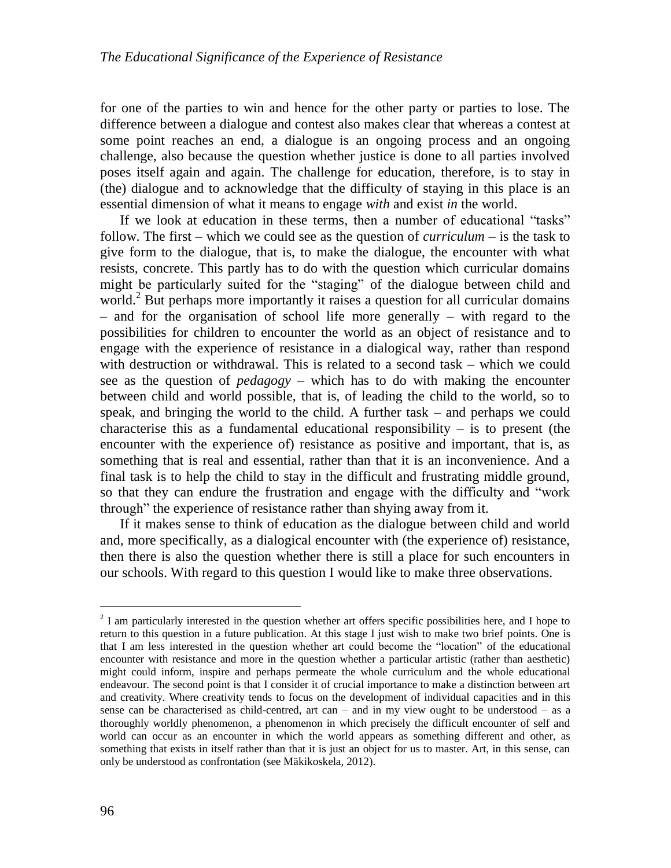for one of the parties to win and hence for the other party or parties to lose. The difference between a dialogue and contest also makes clear that whereas a contest at some point reaches an end, a dialogue is an ongoing process and an ongoing challenge, also because the question whether justice is done to all parties involved poses itself again and again. The challenge for education, therefore, is to stay in (the) dialogue and to acknowledge that the difficulty of staying in this place is an essential dimension of what it means to engage *with* and exist *in* the world.

If we look at education in these terms, then a number of educational "tasks" follow. The first – which we could see as the question of *curriculum* – is the task to give form to the dialogue, that is, to make the dialogue, the encounter with what resists, concrete. This partly has to do with the question which curricular domains might be particularly suited for the "staging" of the dialogue between child and world.<sup>2</sup> But perhaps more importantly it raises a question for all curricular domains – and for the organisation of school life more generally – with regard to the possibilities for children to encounter the world as an object of resistance and to engage with the experience of resistance in a dialogical way, rather than respond with destruction or withdrawal. This is related to a second task – which we could see as the question of *pedagogy* – which has to do with making the encounter between child and world possible, that is, of leading the child to the world, so to speak, and bringing the world to the child. A further task – and perhaps we could characterise this as a fundamental educational responsibility  $-$  is to present (the encounter with the experience of) resistance as positive and important, that is, as something that is real and essential, rather than that it is an inconvenience. And a final task is to help the child to stay in the difficult and frustrating middle ground, so that they can endure the frustration and engage with the difficulty and "work through" the experience of resistance rather than shying away from it.

If it makes sense to think of education as the dialogue between child and world and, more specifically, as a dialogical encounter with (the experience of) resistance, then there is also the question whether there is still a place for such encounters in our schools. With regard to this question I would like to make three observations.

 $\overline{a}$ 

<sup>&</sup>lt;sup>2</sup> I am particularly interested in the question whether art offers specific possibilities here, and I hope to return to this question in a future publication. At this stage I just wish to make two brief points. One is that I am less interested in the question whether art could become the "location" of the educational encounter with resistance and more in the question whether a particular artistic (rather than aesthetic) might could inform, inspire and perhaps permeate the whole curriculum and the whole educational endeavour. The second point is that I consider it of crucial importance to make a distinction between art and creativity. Where creativity tends to focus on the development of individual capacities and in this sense can be characterised as child-centred, art can – and in my view ought to be understood – as a thoroughly worldly phenomenon, a phenomenon in which precisely the difficult encounter of self and world can occur as an encounter in which the world appears as something different and other, as something that exists in itself rather than that it is just an object for us to master. Art, in this sense, can only be understood as confrontation (see Mäkikoskela, 2012).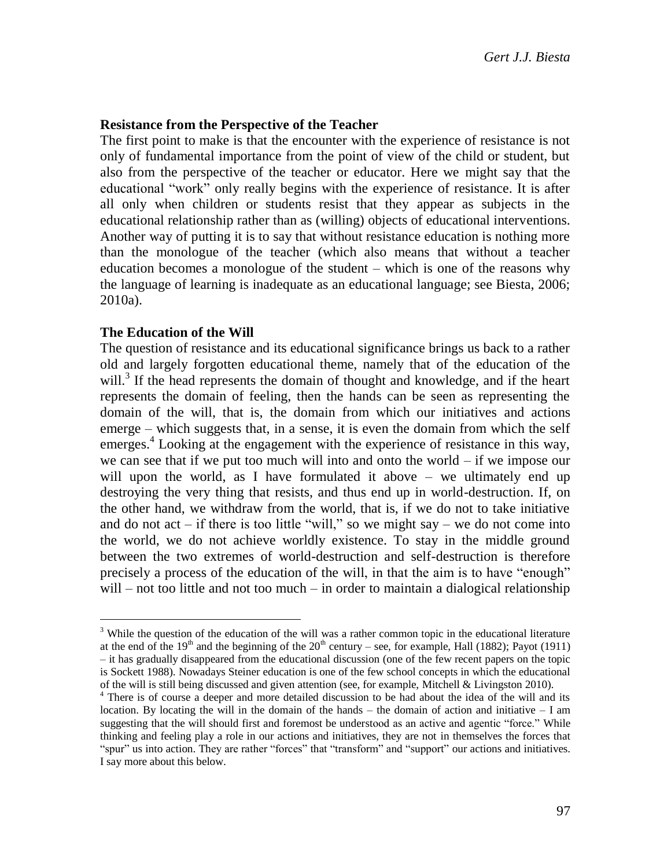### **Resistance from the Perspective of the Teacher**

The first point to make is that the encounter with the experience of resistance is not only of fundamental importance from the point of view of the child or student, but also from the perspective of the teacher or educator. Here we might say that the educational "work" only really begins with the experience of resistance. It is after all only when children or students resist that they appear as subjects in the educational relationship rather than as (willing) objects of educational interventions. Another way of putting it is to say that without resistance education is nothing more than the monologue of the teacher (which also means that without a teacher education becomes a monologue of the student – which is one of the reasons why the language of learning is inadequate as an educational language; see Biesta, 2006; 2010a).

#### **The Education of the Will**

 $\overline{\phantom{a}}$ 

The question of resistance and its educational significance brings us back to a rather old and largely forgotten educational theme, namely that of the education of the will.<sup>3</sup> If the head represents the domain of thought and knowledge, and if the heart represents the domain of feeling, then the hands can be seen as representing the domain of the will, that is, the domain from which our initiatives and actions emerge – which suggests that, in a sense, it is even the domain from which the self emerges.<sup>4</sup> Looking at the engagement with the experience of resistance in this way, we can see that if we put too much will into and onto the world – if we impose our will upon the world, as I have formulated it above – we ultimately end up destroying the very thing that resists, and thus end up in world-destruction. If, on the other hand, we withdraw from the world, that is, if we do not to take initiative and do not act – if there is too little "will," so we might say – we do not come into the world, we do not achieve worldly existence. To stay in the middle ground between the two extremes of world-destruction and self-destruction is therefore precisely a process of the education of the will, in that the aim is to have "enough"  $will$  – not too little and not too much – in order to maintain a dialogical relationship

 $3$  While the question of the education of the will was a rather common topic in the educational literature at the end of the 19<sup>th</sup> and the beginning of the 20<sup>th</sup> century – see, for example, Hall (1882); Payot (1911) – it has gradually disappeared from the educational discussion (one of the few recent papers on the topic is Sockett 1988). Nowadays Steiner education is one of the few school concepts in which the educational of the will is still being discussed and given attention (see, for example, Mitchell & Livingston 2010).

<sup>4</sup> There is of course a deeper and more detailed discussion to be had about the idea of the will and its location. By locating the will in the domain of the hands – the domain of action and initiative  $-1$  am suggesting that the will should first and foremost be understood as an active and agentic "force." While thinking and feeling play a role in our actions and initiatives, they are not in themselves the forces that "spur" us into action. They are rather "forces" that "transform" and "support" our actions and initiatives. I say more about this below.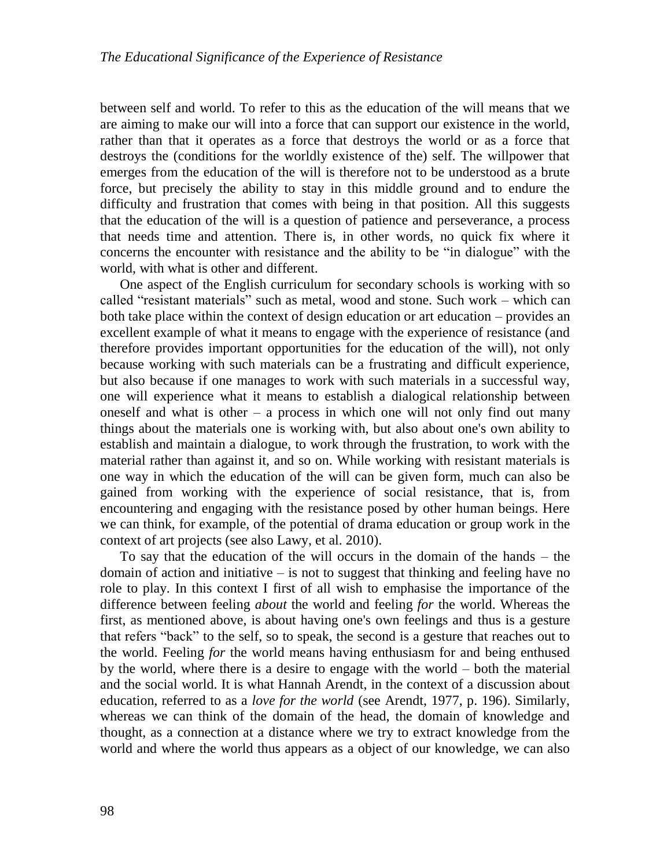between self and world. To refer to this as the education of the will means that we are aiming to make our will into a force that can support our existence in the world, rather than that it operates as a force that destroys the world or as a force that destroys the (conditions for the worldly existence of the) self. The willpower that emerges from the education of the will is therefore not to be understood as a brute force, but precisely the ability to stay in this middle ground and to endure the difficulty and frustration that comes with being in that position. All this suggests that the education of the will is a question of patience and perseverance, a process that needs time and attention. There is, in other words, no quick fix where it concerns the encounter with resistance and the ability to be "in dialogue" with the world, with what is other and different.

One aspect of the English curriculum for secondary schools is working with so called "resistant materials" such as metal, wood and stone. Such work – which can both take place within the context of design education or art education – provides an excellent example of what it means to engage with the experience of resistance (and therefore provides important opportunities for the education of the will), not only because working with such materials can be a frustrating and difficult experience, but also because if one manages to work with such materials in a successful way, one will experience what it means to establish a dialogical relationship between oneself and what is other  $-$  a process in which one will not only find out many things about the materials one is working with, but also about one's own ability to establish and maintain a dialogue, to work through the frustration, to work with the material rather than against it, and so on. While working with resistant materials is one way in which the education of the will can be given form, much can also be gained from working with the experience of social resistance, that is, from encountering and engaging with the resistance posed by other human beings. Here we can think, for example, of the potential of drama education or group work in the context of art projects (see also Lawy, et al. 2010).

To say that the education of the will occurs in the domain of the hands – the domain of action and initiative – is not to suggest that thinking and feeling have no role to play. In this context I first of all wish to emphasise the importance of the difference between feeling *about* the world and feeling *for* the world. Whereas the first, as mentioned above, is about having one's own feelings and thus is a gesture that refers "back" to the self, so to speak, the second is a gesture that reaches out to the world. Feeling *for* the world means having enthusiasm for and being enthused by the world, where there is a desire to engage with the world – both the material and the social world. It is what Hannah Arendt, in the context of a discussion about education, referred to as a *love for the world* (see Arendt, 1977, p. 196). Similarly, whereas we can think of the domain of the head, the domain of knowledge and thought, as a connection at a distance where we try to extract knowledge from the world and where the world thus appears as a object of our knowledge, we can also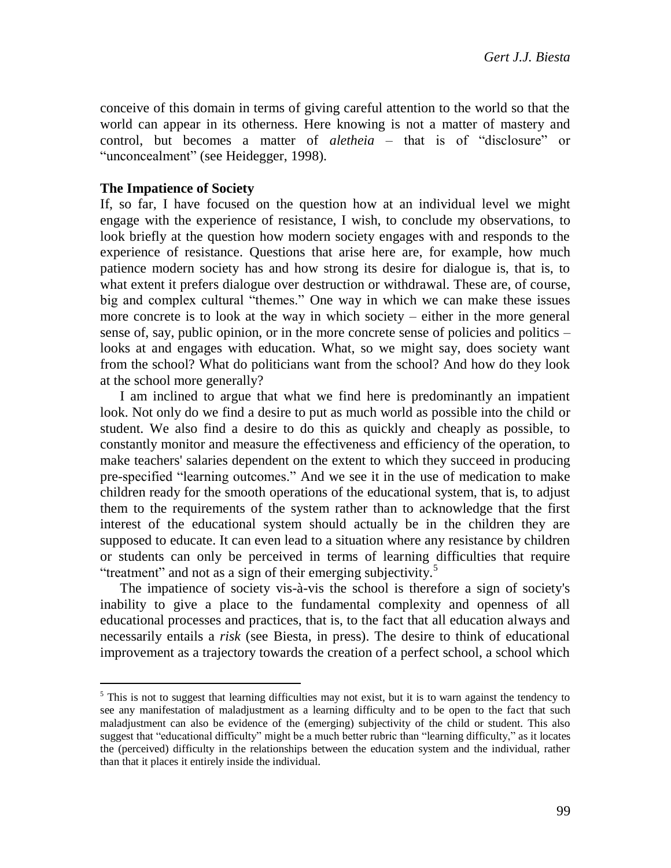conceive of this domain in terms of giving careful attention to the world so that the world can appear in its otherness. Here knowing is not a matter of mastery and control, but becomes a matter of *aletheia* – that is of "disclosure" or "unconcealment" (see Heidegger, 1998).

#### **The Impatience of Society**

 $\overline{a}$ 

If, so far, I have focused on the question how at an individual level we might engage with the experience of resistance, I wish, to conclude my observations, to look briefly at the question how modern society engages with and responds to the experience of resistance. Questions that arise here are, for example, how much patience modern society has and how strong its desire for dialogue is, that is, to what extent it prefers dialogue over destruction or withdrawal. These are, of course, big and complex cultural "themes." One way in which we can make these issues more concrete is to look at the way in which society – either in the more general sense of, say, public opinion, or in the more concrete sense of policies and politics – looks at and engages with education. What, so we might say, does society want from the school? What do politicians want from the school? And how do they look at the school more generally?

I am inclined to argue that what we find here is predominantly an impatient look. Not only do we find a desire to put as much world as possible into the child or student. We also find a desire to do this as quickly and cheaply as possible, to constantly monitor and measure the effectiveness and efficiency of the operation, to make teachers' salaries dependent on the extent to which they succeed in producing pre-specified "learning outcomes." And we see it in the use of medication to make children ready for the smooth operations of the educational system, that is, to adjust them to the requirements of the system rather than to acknowledge that the first interest of the educational system should actually be in the children they are supposed to educate. It can even lead to a situation where any resistance by children or students can only be perceived in terms of learning difficulties that require "treatment" and not as a sign of their emerging subjectivity.<sup>5</sup>

The impatience of society vis-à-vis the school is therefore a sign of society's inability to give a place to the fundamental complexity and openness of all educational processes and practices, that is, to the fact that all education always and necessarily entails a *risk* (see Biesta, in press). The desire to think of educational improvement as a trajectory towards the creation of a perfect school, a school which

 $<sup>5</sup>$  This is not to suggest that learning difficulties may not exist, but it is to warn against the tendency to</sup> see any manifestation of maladjustment as a learning difficulty and to be open to the fact that such maladjustment can also be evidence of the (emerging) subjectivity of the child or student. This also suggest that "educational difficulty" might be a much better rubric than "learning difficulty," as it locates the (perceived) difficulty in the relationships between the education system and the individual, rather than that it places it entirely inside the individual.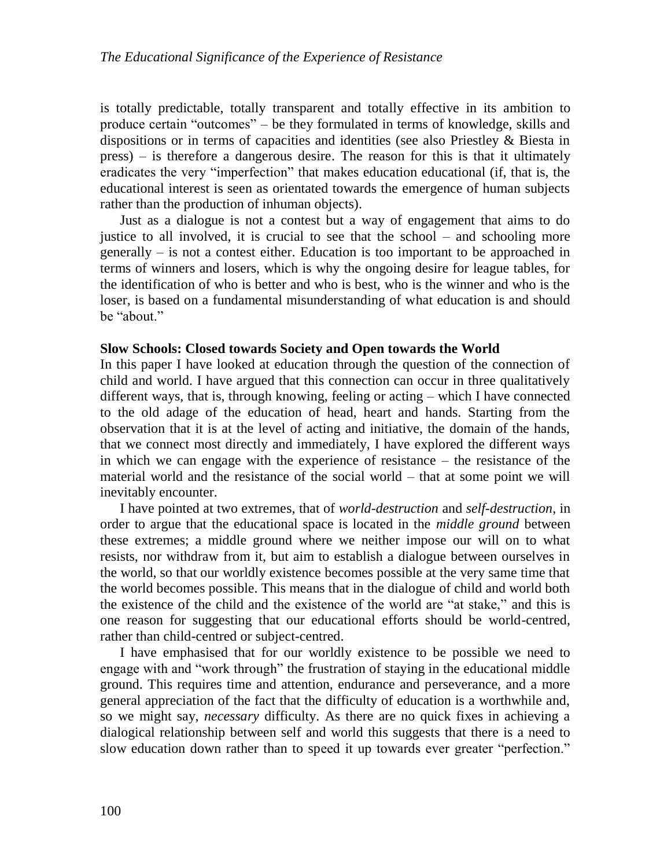is totally predictable, totally transparent and totally effective in its ambition to produce certain "outcomes" – be they formulated in terms of knowledge, skills and dispositions or in terms of capacities and identities (see also Priestley & Biesta in press) – is therefore a dangerous desire. The reason for this is that it ultimately eradicates the very "imperfection" that makes education educational (if, that is, the educational interest is seen as orientated towards the emergence of human subjects rather than the production of inhuman objects).

Just as a dialogue is not a contest but a way of engagement that aims to do justice to all involved, it is crucial to see that the school – and schooling more generally – is not a contest either. Education is too important to be approached in terms of winners and losers, which is why the ongoing desire for league tables, for the identification of who is better and who is best, who is the winner and who is the loser, is based on a fundamental misunderstanding of what education is and should be "about."

#### **Slow Schools: Closed towards Society and Open towards the World**

In this paper I have looked at education through the question of the connection of child and world. I have argued that this connection can occur in three qualitatively different ways, that is, through knowing, feeling or acting – which I have connected to the old adage of the education of head, heart and hands. Starting from the observation that it is at the level of acting and initiative, the domain of the hands, that we connect most directly and immediately, I have explored the different ways in which we can engage with the experience of resistance – the resistance of the material world and the resistance of the social world – that at some point we will inevitably encounter.

I have pointed at two extremes, that of *world-destruction* and *self-destruction*, in order to argue that the educational space is located in the *middle ground* between these extremes; a middle ground where we neither impose our will on to what resists, nor withdraw from it, but aim to establish a dialogue between ourselves in the world, so that our worldly existence becomes possible at the very same time that the world becomes possible. This means that in the dialogue of child and world both the existence of the child and the existence of the world are "at stake," and this is one reason for suggesting that our educational efforts should be world-centred, rather than child-centred or subject-centred.

I have emphasised that for our worldly existence to be possible we need to engage with and "work through" the frustration of staying in the educational middle ground. This requires time and attention, endurance and perseverance, and a more general appreciation of the fact that the difficulty of education is a worthwhile and, so we might say, *necessary* difficulty. As there are no quick fixes in achieving a dialogical relationship between self and world this suggests that there is a need to slow education down rather than to speed it up towards ever greater "perfection."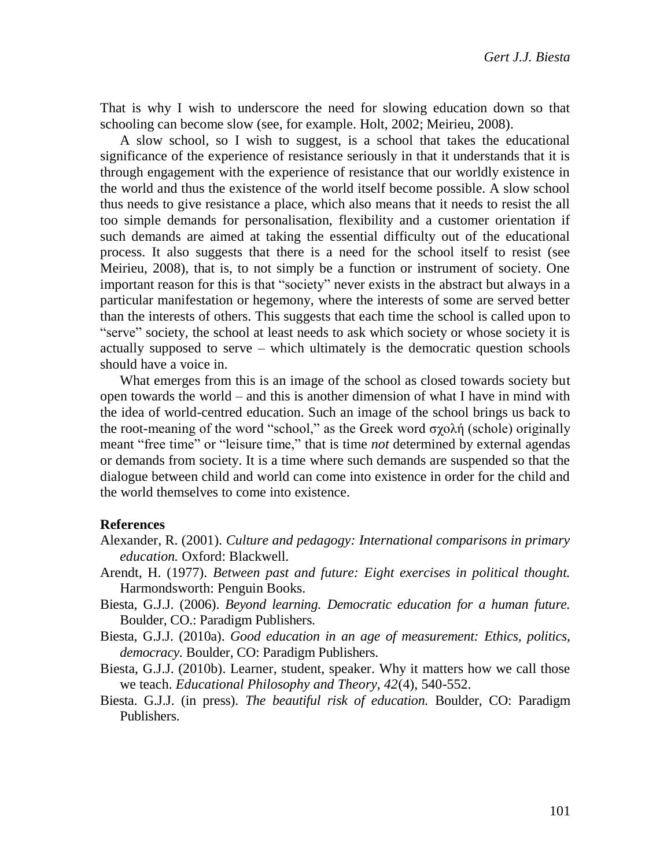That is why I wish to underscore the need for slowing education down so that schooling can become slow (see, for example. Holt, 2002; Meirieu, 2008).

A slow school, so I wish to suggest, is a school that takes the educational significance of the experience of resistance seriously in that it understands that it is through engagement with the experience of resistance that our worldly existence in the world and thus the existence of the world itself become possible. A slow school thus needs to give resistance a place, which also means that it needs to resist the all too simple demands for personalisation, flexibility and a customer orientation if such demands are aimed at taking the essential difficulty out of the educational process. It also suggests that there is a need for the school itself to resist (see Meirieu, 2008), that is, to not simply be a function or instrument of society. One important reason for this is that "society" never exists in the abstract but always in a particular manifestation or hegemony, where the interests of some are served better than the interests of others. This suggests that each time the school is called upon to "serve" society, the school at least needs to ask which society or whose society it is actually supposed to serve – which ultimately is the democratic question schools should have a voice in.

What emerges from this is an image of the school as closed towards society but open towards the world – and this is another dimension of what I have in mind with the idea of world-centred education. Such an image of the school brings us back to the root-meaning of the word "school," as the Greek word σχολή (schole) originally meant "free time" or "leisure time," that is time *not* determined by external agendas or demands from society. It is a time where such demands are suspended so that the dialogue between child and world can come into existence in order for the child and the world themselves to come into existence.

#### **References**

- Alexander, R. (2001). *Culture and pedagogy: International comparisons in primary education.* Oxford: Blackwell.
- Arendt, H. (1977). *Between past and future: Eight exercises in political thought.* Harmondsworth: Penguin Books.
- Biesta, G.J.J. (2006). *Beyond learning. Democratic education for a human future.* Boulder, CO.: Paradigm Publishers.
- Biesta, G.J.J. (2010a). *Good education in an age of measurement: Ethics, politics, democracy.* Boulder, CO: Paradigm Publishers.
- Biesta, G.J.J. (2010b). Learner, student, speaker. Why it matters how we call those we teach. *Educational Philosophy and Theory, 42*(4), 540-552.
- Biesta. G.J.J. (in press). *The beautiful risk of education.* Boulder, CO: Paradigm Publishers.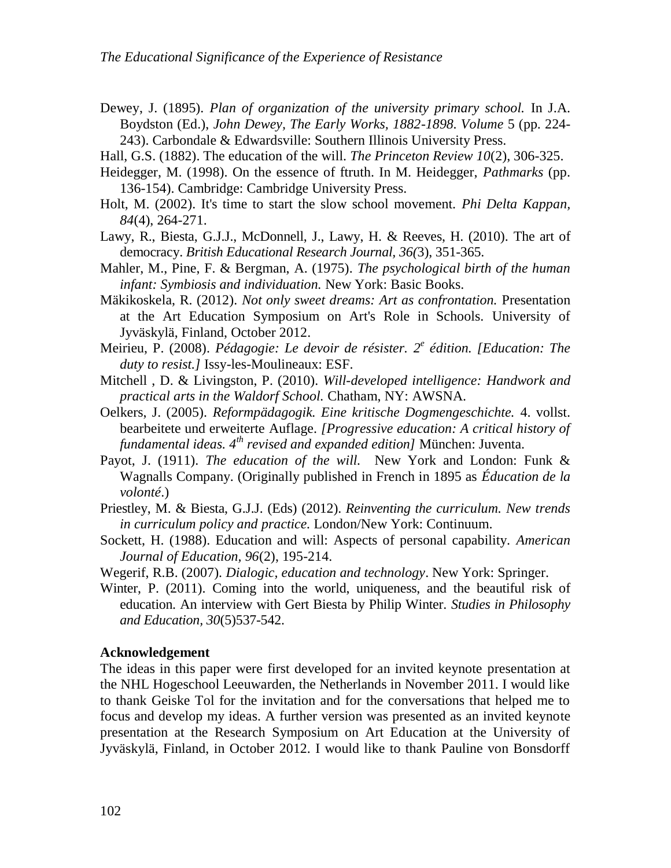- Dewey, J. (1895). *Plan of organization of the university primary school.* In J.A. Boydston (Ed.), *John Dewey, The Early Works, 1882-1898. Volume* 5 (pp. 224- 243). Carbondale & Edwardsville: Southern Illinois University Press.
- Hall, G.S. (1882). The education of the will. *The Princeton Review 10*(2), 306-325.
- Heidegger, M. (1998). On the essence of ftruth. In M. Heidegger, *Pathmarks* (pp. 136-154). Cambridge: Cambridge University Press.
- Holt, M. (2002). It's time to start the slow school movement. *Phi Delta Kappan, 84*(4), 264-271.
- Lawy, R., Biesta, G.J.J., McDonnell, J., Lawy, H. & Reeves, H. (2010). The art of democracy. *British Educational Research Journal, 36(*3), 351-365.
- Mahler, M., Pine, F. & Bergman, A. (1975). *The psychological birth of the human infant: Symbiosis and individuation.* New York: Basic Books.
- Mäkikoskela, R. (2012). *Not only sweet dreams: Art as confrontation.* Presentation at the Art Education Symposium on Art's Role in Schools. University of Jyväskylä, Finland, October 2012.
- Meirieu, P. (2008). *Pédagogie: Le devoir de résister. 2 e édition. [Education: The duty to resist.]* Issy-les-Moulineaux: ESF.
- Mitchell , D. & Livingston, P. (2010). *Will-developed intelligence: Handwork and practical arts in the Waldorf School.* Chatham, NY: AWSNA.
- Oelkers, J. (2005). *Reformpädagogik. Eine kritische Dogmengeschichte.* 4. vollst. bearbeitete und erweiterte Auflage. *[Progressive education: A critical history of fundamental ideas. 4th revised and expanded edition]* München: Juventa.
- Payot, J. (1911). *The education of the will.* New York and London: Funk & Wagnalls Company. (Originally published in French in 1895 as *Éducation de la volonté*.)
- Priestley, M. & Biesta, G.J.J. (Eds) (2012). *Reinventing the curriculum. New trends in curriculum policy and practice.* London/New York: Continuum.
- Sockett, H. (1988). Education and will: Aspects of personal capability. *American Journal of Education, 96*(2), 195-214.
- Wegerif, R.B. (2007). *Dialogic, education and technology*. New York: Springer.
- Winter, P. (2011). Coming into the world, uniqueness, and the beautiful risk of education. An interview with Gert Biesta by Philip Winter. *Studies in Philosophy and Education, 30*(5)537-542.

## **Acknowledgement**

The ideas in this paper were first developed for an invited keynote presentation at the NHL Hogeschool Leeuwarden, the Netherlands in November 2011. I would like to thank Geiske Tol for the invitation and for the conversations that helped me to focus and develop my ideas. A further version was presented as an invited keynote presentation at the Research Symposium on Art Education at the University of Jyväskylä, Finland, in October 2012. I would like to thank Pauline von Bonsdorff